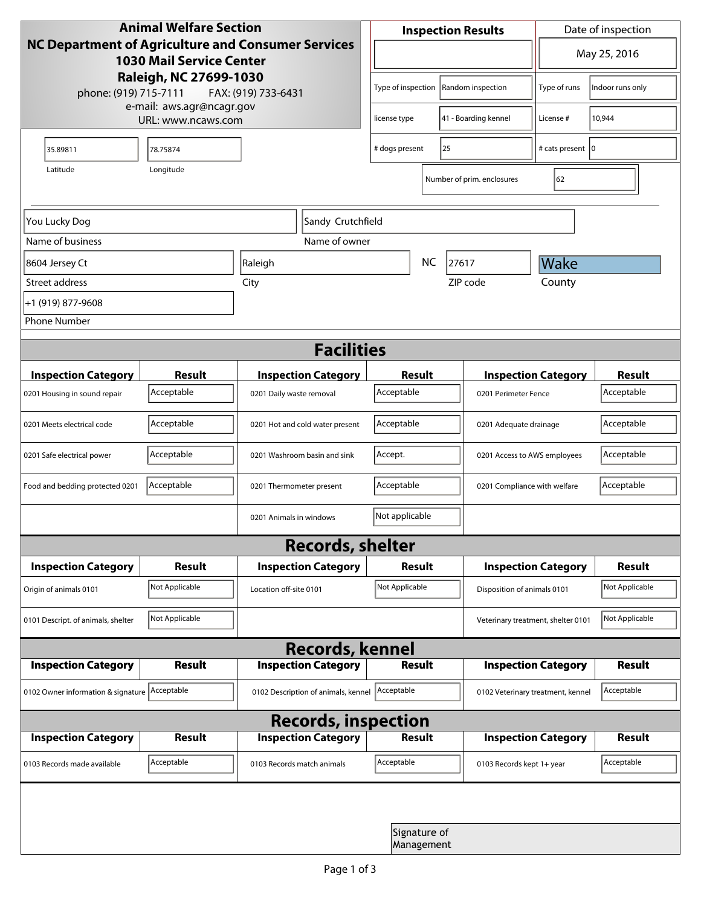| <b>Animal Welfare Section</b><br>NC Department of Agriculture and Consumer Services<br><b>1030 Mail Service Center</b><br>Raleigh, NC 27699-1030<br>phone: (919) 715-7111<br>FAX: (919) 733-6431 |                |                                     | <b>Inspection Results</b>               |  |                                    | Date of inspection         |                |  |
|--------------------------------------------------------------------------------------------------------------------------------------------------------------------------------------------------|----------------|-------------------------------------|-----------------------------------------|--|------------------------------------|----------------------------|----------------|--|
|                                                                                                                                                                                                  |                |                                     | ▼                                       |  |                                    | May 25, 2016               |                |  |
|                                                                                                                                                                                                  |                |                                     | Type of inspection<br>Random inspection |  | Type of runs                       | Indoor runs only           |                |  |
| e-mail: aws.agr@ncagr.gov<br>URL: www.ncaws.com                                                                                                                                                  |                |                                     | 41 - Boarding kennel<br>license type    |  | License #                          | 10,944                     |                |  |
| 35.89811                                                                                                                                                                                         | 78.75874       |                                     | # dogs present<br>25                    |  | # cats present   0                 |                            |                |  |
| Latitude                                                                                                                                                                                         | Longitude      |                                     |                                         |  | Number of prim. enclosures         | 62                         |                |  |
| Sandy Crutchfield<br>You Lucky Dog                                                                                                                                                               |                |                                     |                                         |  |                                    |                            |                |  |
| Name of business                                                                                                                                                                                 | Name of owner  |                                     |                                         |  |                                    |                            |                |  |
| 8604 Jersey Ct                                                                                                                                                                                   |                | Raleigh                             | <b>NC</b><br>27617                      |  |                                    | Wake                       |                |  |
| Street address                                                                                                                                                                                   |                | City                                |                                         |  | ZIP code                           | County                     |                |  |
| +1 (919) 877-9608                                                                                                                                                                                |                |                                     |                                         |  |                                    |                            |                |  |
| <b>Phone Number</b>                                                                                                                                                                              |                |                                     |                                         |  |                                    |                            |                |  |
| <b>Facilities</b>                                                                                                                                                                                |                |                                     |                                         |  |                                    |                            |                |  |
| <b>Inspection Category</b>                                                                                                                                                                       | Result         | <b>Inspection Category</b>          | Result                                  |  | <b>Inspection Category</b>         |                            | <b>Result</b>  |  |
| 0201 Housing in sound repair                                                                                                                                                                     | Acceptable     | 0201 Daily waste removal            | Acceptable                              |  | 0201 Perimeter Fence               |                            | Acceptable     |  |
| 0201 Meets electrical code                                                                                                                                                                       | Acceptable     | 0201 Hot and cold water present     | Acceptable<br>0201 Adequate drainage    |  |                                    | Acceptable                 |                |  |
| 0201 Safe electrical power                                                                                                                                                                       | Acceptable     | 0201 Washroom basin and sink        | Accept.                                 |  | 0201 Access to AWS employees       |                            | Acceptable     |  |
| Food and bedding protected 0201                                                                                                                                                                  | Acceptable     | 0201 Thermometer present            | Acceptable                              |  | 0201 Compliance with welfare       |                            | Acceptable     |  |
|                                                                                                                                                                                                  |                | 0201 Animals in windows             | Not applicable                          |  |                                    |                            |                |  |
| <b>Records, shelter</b>                                                                                                                                                                          |                |                                     |                                         |  |                                    |                            |                |  |
| <b>Inspection Category</b>                                                                                                                                                                       | Result         | <b>Inspection Category</b>          | <b>Result</b>                           |  |                                    | <b>Inspection Category</b> | <b>Result</b>  |  |
| Origin of animals 0101                                                                                                                                                                           | Not Applicable | Location off-site 0101              | Not Applicable                          |  | Disposition of animals 0101        |                            | Not Applicable |  |
| 0101 Descript. of animals, shelter                                                                                                                                                               | Not Applicable |                                     |                                         |  | Veterinary treatment, shelter 0101 |                            | Not Applicable |  |
| <b>Records, kennel</b>                                                                                                                                                                           |                |                                     |                                         |  |                                    |                            |                |  |
| <b>Inspection Category</b>                                                                                                                                                                       | Result         | <b>Inspection Category</b>          | <b>Result</b>                           |  |                                    | <b>Inspection Category</b> | <b>Result</b>  |  |
| 0102 Owner information & signature Acceptable                                                                                                                                                    |                | 0102 Description of animals, kennel | Acceptable                              |  | 0102 Veterinary treatment, kennel  |                            | Acceptable     |  |
| <b>Records, inspection</b>                                                                                                                                                                       |                |                                     |                                         |  |                                    |                            |                |  |
| <b>Inspection Category</b>                                                                                                                                                                       | <b>Result</b>  | <b>Inspection Category</b>          | <b>Result</b>                           |  |                                    | <b>Inspection Category</b> | <b>Result</b>  |  |
| 0103 Records made available                                                                                                                                                                      | Acceptable     | 0103 Records match animals          | Acceptable                              |  | 0103 Records kept 1+ year          |                            | Acceptable     |  |
|                                                                                                                                                                                                  |                |                                     |                                         |  |                                    |                            |                |  |
|                                                                                                                                                                                                  |                |                                     | Signature of<br>Management              |  |                                    |                            |                |  |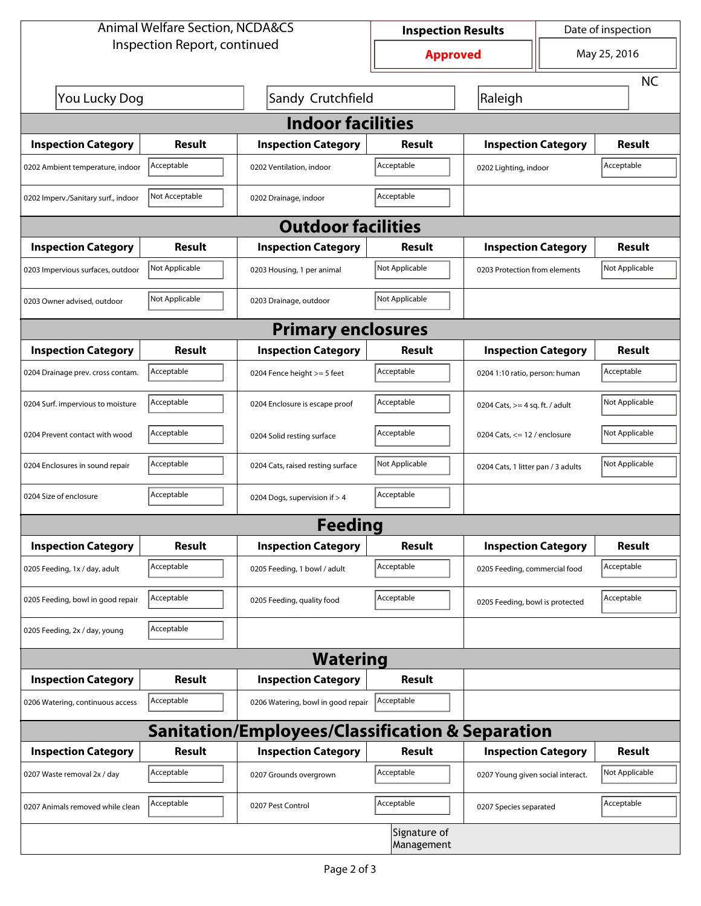| <b>Animal Welfare Section, NCDA&amp;CS</b> |                |                                                             | <b>Inspection Results</b>  |                                     | Date of inspection |                |  |  |
|--------------------------------------------|----------------|-------------------------------------------------------------|----------------------------|-------------------------------------|--------------------|----------------|--|--|
| Inspection Report, continued               |                |                                                             | <b>Approved</b>            |                                     | May 25, 2016       |                |  |  |
|                                            |                |                                                             |                            |                                     |                    | <b>NC</b>      |  |  |
| You Lucky Dog                              |                | Sandy Crutchfield                                           |                            | Raleigh                             |                    |                |  |  |
| <b>Indoor facilities</b>                   |                |                                                             |                            |                                     |                    |                |  |  |
| <b>Inspection Category</b>                 | Result         | <b>Inspection Category</b>                                  | Result                     | <b>Inspection Category</b>          |                    | Result         |  |  |
| 0202 Ambient temperature, indoor           | Acceptable     | 0202 Ventilation, indoor                                    | Acceptable                 | Acceptable<br>0202 Lighting, indoor |                    |                |  |  |
| 0202 Imperv./Sanitary surf., indoor        | Not Acceptable | 0202 Drainage, indoor                                       | Acceptable                 |                                     |                    |                |  |  |
| <b>Outdoor facilities</b>                  |                |                                                             |                            |                                     |                    |                |  |  |
| <b>Inspection Category</b>                 | <b>Result</b>  | <b>Inspection Category</b>                                  | <b>Result</b>              | <b>Inspection Category</b>          |                    | Result         |  |  |
| 0203 Impervious surfaces, outdoor          | Not Applicable | 0203 Housing, 1 per animal                                  | Not Applicable             | 0203 Protection from elements       |                    | Not Applicable |  |  |
| 0203 Owner advised, outdoor                | Not Applicable | 0203 Drainage, outdoor                                      | Not Applicable             |                                     |                    |                |  |  |
| <b>Primary enclosures</b>                  |                |                                                             |                            |                                     |                    |                |  |  |
| <b>Inspection Category</b>                 | Result         | <b>Inspection Category</b>                                  | Result                     | <b>Inspection Category</b>          |                    | Result         |  |  |
| 0204 Drainage prev. cross contam.          | Acceptable     | 0204 Fence height >= 5 feet                                 | Acceptable                 | 0204 1:10 ratio, person: human      |                    | Acceptable     |  |  |
| 0204 Surf. impervious to moisture          | Acceptable     | 0204 Enclosure is escape proof                              | Acceptable                 | 0204 Cats, $>=$ 4 sq. ft. / adult   |                    | Not Applicable |  |  |
| 0204 Prevent contact with wood             | Acceptable     | 0204 Solid resting surface                                  | Acceptable                 | 0204 Cats, $<= 12$ / enclosure      |                    | Not Applicable |  |  |
| 0204 Enclosures in sound repair            | Acceptable     | 0204 Cats, raised resting surface                           | Not Applicable             | 0204 Cats, 1 litter pan / 3 adults  |                    | Not Applicable |  |  |
| 0204 Size of enclosure                     | Acceptable     | 0204 Dogs, supervision if > 4                               | Acceptable                 |                                     |                    |                |  |  |
| <b>Feeding</b>                             |                |                                                             |                            |                                     |                    |                |  |  |
| <b>Inspection Category</b>                 | <b>Result</b>  | <b>Inspection Category</b>                                  | <b>Result</b>              | <b>Inspection Category</b>          |                    | <b>Result</b>  |  |  |
| 0205 Feeding, 1x / day, adult              | Acceptable     | 0205 Feeding, 1 bowl / adult                                | Acceptable                 | 0205 Feeding, commercial food       |                    | Acceptable     |  |  |
| 0205 Feeding, bowl in good repair          | Acceptable     | 0205 Feeding, quality food                                  | Acceptable                 | 0205 Feeding, bowl is protected     |                    | Acceptable     |  |  |
| 0205 Feeding, 2x / day, young              | Acceptable     |                                                             |                            |                                     |                    |                |  |  |
|                                            |                | <b>Watering</b>                                             |                            |                                     |                    |                |  |  |
| <b>Inspection Category</b>                 | <b>Result</b>  | <b>Inspection Category</b>                                  | <b>Result</b>              |                                     |                    |                |  |  |
| 0206 Watering, continuous access           | Acceptable     | 0206 Watering, bowl in good repair                          | Acceptable                 |                                     |                    |                |  |  |
|                                            |                | <b>Sanitation/Employees/Classification &amp; Separation</b> |                            |                                     |                    |                |  |  |
| <b>Inspection Category</b>                 | <b>Result</b>  | <b>Inspection Category</b>                                  | Result                     | <b>Inspection Category</b>          |                    | <b>Result</b>  |  |  |
| 0207 Waste removal 2x / day                | Acceptable     | 0207 Grounds overgrown                                      | Acceptable                 | 0207 Young given social interact.   |                    | Not Applicable |  |  |
| 0207 Animals removed while clean           | Acceptable     | 0207 Pest Control                                           | Acceptable                 | 0207 Species separated              |                    | Acceptable     |  |  |
|                                            |                |                                                             | Signature of<br>Management |                                     |                    |                |  |  |